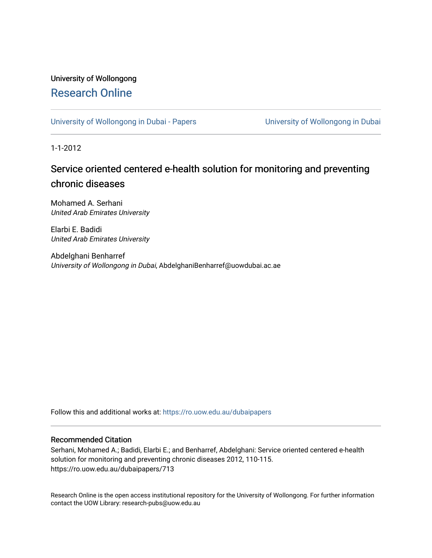## University of Wollongong [Research Online](https://ro.uow.edu.au/)

[University of Wollongong in Dubai - Papers](https://ro.uow.edu.au/dubaipapers) **University of Wollongong in Dubai** 

1-1-2012

## Service oriented centered e-health solution for monitoring and preventing chronic diseases

Mohamed A. Serhani United Arab Emirates University

Elarbi E. Badidi United Arab Emirates University

Abdelghani Benharref University of Wollongong in Dubai, AbdelghaniBenharref@uowdubai.ac.ae

Follow this and additional works at: [https://ro.uow.edu.au/dubaipapers](https://ro.uow.edu.au/dubaipapers?utm_source=ro.uow.edu.au%2Fdubaipapers%2F713&utm_medium=PDF&utm_campaign=PDFCoverPages) 

### Recommended Citation

Serhani, Mohamed A.; Badidi, Elarbi E.; and Benharref, Abdelghani: Service oriented centered e-health solution for monitoring and preventing chronic diseases 2012, 110-115. https://ro.uow.edu.au/dubaipapers/713

Research Online is the open access institutional repository for the University of Wollongong. For further information contact the UOW Library: research-pubs@uow.edu.au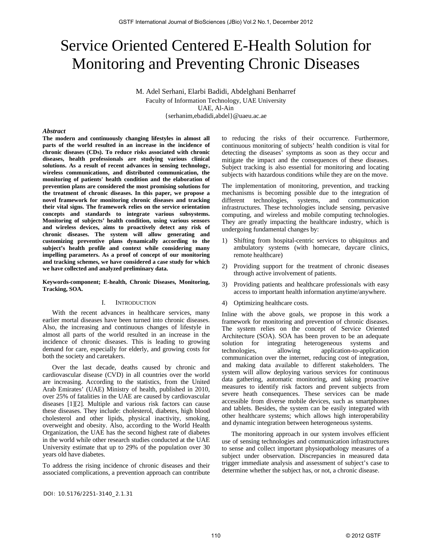# Service Oriented Centered E-Health Solution for Monitoring and Preventing Chronic Diseases

M. Adel Serhani, Elarbi Badidi, Abdelghani Benharref Faculty of Information Technology, UAE University UAE, Al-Ain {serhanim,ebadidi,abdel}@uaeu.ac.ae

#### *Abstract*

**The modern and continuously changing lifestyles in almost all parts of the world resulted in an increase in the incidence of chronic diseases (CDs). To reduce risks associated with chronic diseases, health professionals are studying various clinical solutions. As a result of recent advances in sensing technology, wireless communications, and distributed communication, the monitoring of patients' health condition and the elaboration of prevention plans are considered the most promising solutions for the treatment of chronic diseases. In this paper, we propose a novel framework for monitoring chronic diseases and tracking their vital signs. The framework relies on the service orientation concepts and standards to integrate various subsystems. Monitoring of subjects' health condition, using various sensors and wireless devices, aims to proactively detect any risk of chronic diseases. The system will allow generating and customizing preventive plans dynamically according to the subject's health profile and context while considering many impelling parameters. As a proof of concept of our monitoring and tracking schemes, we have considered a case study for which we have collected and analyzed preliminary data.** 

#### **Keywords-component; E-health, Chronic Diseases, Monitoring, Tracking, SOA.**

#### I. INTRODUCTION

With the recent advances in healthcare services, many earlier mortal diseases have been turned into chronic diseases. Also, the increasing and continuous changes of lifestyle in almost all parts of the world resulted in an increase in the incidence of chronic diseases. This is leading to growing demand for care, especially for elderly, and growing costs for both the society and caretakers.

Over the last decade, deaths caused by chronic and cardiovascular disease (CVD) in all countries over the world are increasing. According to the statistics, from the United Arab Emirates' (UAE) Ministry of health, published in 2010, over 25% of fatalities in the UAE are caused by cardiovascular diseases [1][2]. Multiple and various risk factors can cause these diseases. They include: cholesterol, diabetes, high blood cholesterol and other lipids, physical inactivity, smoking, overweight and obesity. Also, according to the World Health Organization, the UAE has the second highest rate of diabetes in the world while other research studies conducted at the UAE University estimate that up to 29% of the population over 30 years old have diabetes.

To address the rising incidence of chronic diseases and their associated complications, a prevention approach can contribute

DOI: 10.5176/2251-3140\_2.1.31

to reducing the risks of their occurrence. Furthermore, continuous monitoring of subjects' health condition is vital for detecting the diseases' symptoms as soon as they occur and mitigate the impact and the consequences of these diseases. Subject tracking is also essential for monitoring and locating subjects with hazardous conditions while they are on the move.

The implementation of monitoring, prevention, and tracking mechanisms is becoming possible due to the integration of different technologies, systems, and communication infrastructures. These technologies include sensing, pervasive computing, and wireless and mobile computing technologies. They are greatly impacting the healthcare industry, which is undergoing fundamental changes by:

- 1) Shifting from hospital-centric services to ubiquitous and ambulatory systems (with homecare, daycare clinics, remote healthcare)
- 2) Providing support for the treatment of chronic diseases through active involvement of patients.
- 3) Providing patients and healthcare professionals with easy access to important health information anytime/anywhere.
- 4) Optimizing healthcare costs.

Inline with the above goals, we propose in this work a framework for monitoring and prevention of chronic diseases. The system relies on the concept of Service Oriented Architecture (SOA). SOA has been proven to be an adequate solution for integrating heterogeneous systems and technologies, allowing application-to-application technologies, allowing application-to-application communication over the internet, reducing cost of integration, and making data available to different stakeholders. The system will allow deploying various services for continuous data gathering, automatic monitoring, and taking proactive measures to identify risk factors and prevent subjects from severe heath consequences. These services can be made accessible from diverse mobile devices, such as smartphones and tablets. Besides, the system can be easily integrated with other healthcare systems; which allows high interoperability and dynamic integration between heterogeneous systems.

The monitoring approach in our system involves efficient use of sensing technologies and communication infrastructures to sense and collect important physiopathology measures of a subject under observation. Discrepancies in measured data trigger immediate analysis and assessment of subject's case to determine whether the subject has, or not, a chronic disease.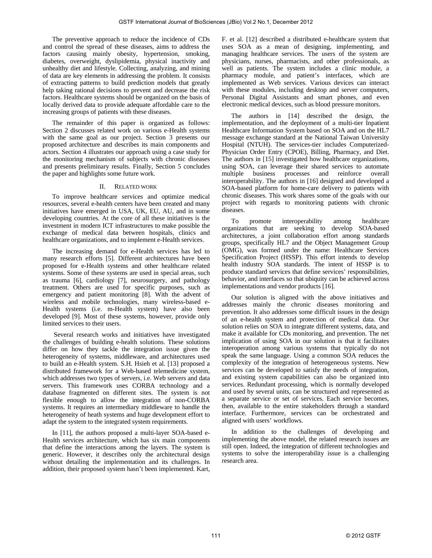The preventive approach to reduce the incidence of CDs and control the spread of these diseases, aims to address the factors causing mainly obesity, hypertension, smoking, diabetes, overweight, dyslipidemia, physical inactivity and unhealthy diet and lifestyle. Collecting, analyzing, and mining of data are key elements in addressing the problem. It consists of extracting patterns to build prediction models that greatly help taking rational decisions to prevent and decrease the risk factors. Healthcare systems should be organized on the basis of locally derived data to provide adequate affordable care to the increasing groups of patients with these diseases.

The remainder of this paper is organized as follows: Section 2 discusses related work on various e-Health systems with the same goal as our project. Section 3 presents our proposed architecture and describes its main components and actors. Section 4 illustrates our approach using a case study for the monitoring mechanism of subjects with chronic diseases and presents preliminary results. Finally, Section 5 concludes the paper and highlights some future work.

#### II. RELATED WORK

To improve healthcare services and optimize medical resources, several e-health centers have been created and many initiatives have emerged in USA, UK, EU, AU, and in some developing countries. At the core of all these initiatives is the investment in modern ICT infrastructures to make possible the exchange of medical data between hospitals, clinics and healthcare organizations, and to implement e-Health services.

The increasing demand for e-Health services has led to many research efforts [5]. Different architectures have been proposed for e-Health systems and other healthcare related systems. Some of these systems are used in special areas, such as trauma [6], cardiology [7], neurosurgery, and pathology treatment. Others are used for specific purposes, such as emergency and patient monitoring [8]. With the advent of wireless and mobile technologies, many wireless-based e-Health systems (i.e. m-Health system) have also been developed [9]. Most of these systems, however, provide only limited services to their users.

 Several research works and initiatives have investigated the challenges of building e-health solutions. These solutions differ on how they tackle the integration issue given the heterogeneity of systems, middleware, and architectures used to build an e-Health system. S.H. Hsieh et al. [13] proposed a distributed framework for a Web-based telemedicine system, which addresses two types of servers, i.e. Web servers and data servers. This framework uses CORBA technology and a database fragmented on different sites. The system is not flexible enough to allow the integration of non-CORBA systems. It requires an intermediary middleware to handle the heterogeneity of heath systems and huge development effort to adapt the system to the integrated system requirements.

In [11], the authors proposed a multi-layer SOA-based e-Health services architecture, which has six main components that define the interactions among the layers. The system is generic. However, it describes only the architectural design without detailing the implementation and its challenges. In addition, their proposed system hasn't been implemented. Kart, F. et al. [12] described a distributed e-healthcare system that uses SOA as a mean of designing, implementing, and managing healthcare services. The users of the system are physicians, nurses, pharmacists, and other professionals, as well as patients. The system includes a clinic module, a pharmacy module, and patient's interfaces, which are implemented as Web services. Various devices can interact with these modules, including desktop and server computers, Personal Digital Assistants and smart phones, and even electronic medical devices, such as blood pressure monitors.

The authors in [14] described the design, the implementation, and the deployment of a multi-tier Inpatient Healthcare Information System based on SOA and on the HL7 message exchange standard at the National Taiwan University Hospital (NTUH). The services-tier includes Computerized-Physician Order Entry (CPOE), Billing, Pharmacy, and Diet. The authors in [15] investigated how healthcare organizations, using SOA, can leverage their shared services to automate multiple business processes and reinforce overall interoperability. The authors in [16] designed and developed a SOA-based platform for home-care delivery to patients with chronic diseases. This work shares some of the goals with our project with regards to monitoring patients with chronic diseases.

To promote interoperability among healthcare organizations that are seeking to develop SOA-based architectures, a joint collaboration effort among standards groups, specifically HL7 and the Object Management Group (OMG), was formed under the name: Healthcare Services Specification Project (HSSP). This effort intends to develop health industry SOA standards. The intent of HSSP is to produce standard services that define services' responsibilities, behavior, and interfaces so that ubiquity can be achieved across implementations and vendor products [16].

Our solution is aligned with the above initiatives and addresses mainly the chronic diseases monitoring and prevention. It also addresses some difficult issues in the design of an e-health system and protection of medical data. Our solution relies on SOA to integrate different systems, data, and make it available for CDs monitoring, and prevention. The net implication of using SOA in our solution is that it facilitates interoperation among various systems that typically do not speak the same language. Using a common SOA reduces the complexity of the integration of heterogeneous systems. New services can be developed to satisfy the needs of integration, and existing system capabilities can also be organized into services. Redundant processing, which is normally developed and used by several units, can be structured and represented as a separate service or set of services. Each service becomes, then, available to the entire stakeholders through a standard interface. Furthermore, services can be orchestrated and aligned with users' workflows.

In addition to the challenges of developing and implementing the above model, the related research issues are still open. Indeed, the integration of different technologies and systems to solve the interoperability issue is a challenging research area.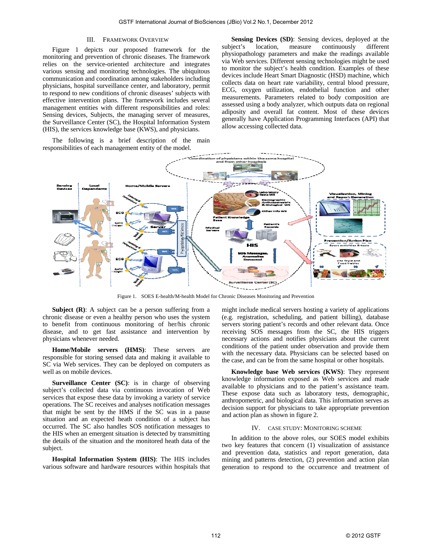#### III. FRAMEWORK OVERVIEW

Figure 1 depicts our proposed framework for the monitoring and prevention of chronic diseases. The framework relies on the service-oriented architecture and integrates various sensing and monitoring technologies. The ubiquitous communication and coordination among stakeholders including physicians, hospital surveillance center, and laboratory, permit to respond to new conditions of chronic diseases' subjects with effective intervention plans. The framework includes several management entities with different responsibilities and roles: Sensing devices, Subjects, the managing server of measures, the Surveillance Center (SC), the Hospital Information System (HIS), the services knowledge base (KWS), and physicians.

The following is a brief description of the main responsibilities of each management entity of the model.

**Sensing Devices (SD)**: Sensing devices, deployed at the subject's location, measure continuously different physiopathology parameters and make the readings available via Web services. Different sensing technologies might be used to monitor the subject's health condition. Examples of these devices include Heart Smart Diagnostic (HSD) machine, which collects data on heart rate variability, central blood pressure, ECG, oxygen utilization, endothelial function and other measurements. Parameters related to body composition are assessed using a body analyzer, which outputs data on regional adiposity and overall fat content. Most of these devices generally have Application Programming Interfaces (API) that allow accessing collected data.



Figure 1. SOES E-health/M-health Model for Chronic Diseases Monitoring and Prevention

**Subject (R):** A subject can be a person suffering from a chronic disease or even a healthy person who uses the system to benefit from continuous monitoring of her/his chronic disease, and to get fast assistance and intervention by physicians whenever needed.

**Home/Mobile servers (HMS)**: These servers are responsible for storing sensed data and making it available to SC via Web services. They can be deployed on computers as well as on mobile devices.

**Surveillance Center (SC)**: is in charge of observing subject's collected data via continuous invocation of Web services that expose these data by invoking a variety of service operations. The SC receives and analyses notification messages that might be sent by the HMS if the SC was in a pause situation and an expected heath condition of a subject has occurred. The SC also handles SOS notification messages to the HIS when an emergent situation is detected by transmitting the details of the situation and the monitored heath data of the subject.

**Hospital Information System (HIS)**: The HIS includes various software and hardware resources within hospitals that might include medical servers hosting a variety of applications (e.g. registration, scheduling, and patient billing), database servers storing patient's records and other relevant data. Once receiving SOS messages from the SC, the HIS triggers necessary actions and notifies physicians about the current conditions of the patient under observation and provide them with the necessary data. Physicians can be selected based on the case, and can be from the same hospital or other hospitals.

**Knowledge base Web services (KWS)**: They represent knowledge information exposed as Web services and made available to physicians and to the patient's assistance team. These expose data such as laboratory tests, demographic, anthropometric, and biological data. This information serves as decision support for physicians to take appropriate prevention and action plan as shown in figure 2.

#### IV. CASE STUDY: MONITORING SCHEME

In addition to the above roles, our SOES model exhibits two key features that concern (1) visualization of assistance and prevention data, statistics and report generation, data mining and patterns detection, (2) prevention and action plan generation to respond to the occurrence and treatment of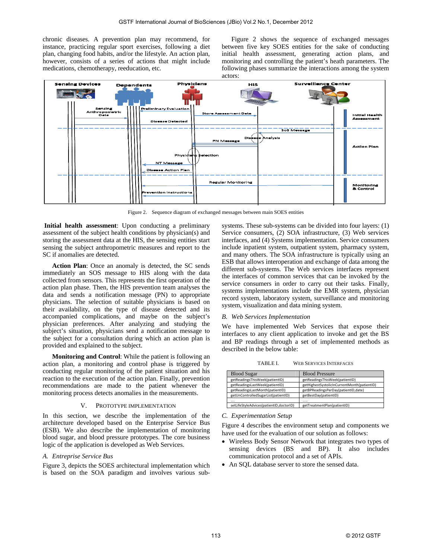chronic diseases. A prevention plan may recommend, for instance, practicing regular sport exercises, following a diet plan, changing food habits, and/or the lifestyle. An action plan, however, consists of a series of actions that might include medications, chemotherapy, reeducation, etc.

Figure 2 shows the sequence of exchanged messages between five key SOES entities for the sake of conducting initial health assessment, generating action plans, and monitoring and controlling the patient's heath parameters. The following phases summarize the interactions among the system actors:



Figure 2. Sequence diagram of exchanged messages between main SOES entities

**Initial health assessment**: Upon conducting a preliminary assessment of the subject health conditions by physician(s) and storing the assessment data at the HIS, the sensing entities start sensing the subject anthropometric measures and report to the SC if anomalies are detected.

**Action Plan**: Once an anomaly is detected, the SC sends immediately an SOS message to HIS along with the data collected from sensors. This represents the first operation of the action plan phase. Then, the HIS prevention team analyses the data and sends a notification message (PN) to appropriate physicians. The selection of suitable physicians is based on their availability, on the type of disease detected and its accompanied complications, and maybe on the subject's physician preferences. After analyzing and studying the subject's situation, physicians send a notification message to the subject for a consultation during which an action plan is provided and explained to the subject.

**Monitoring and Control**: While the patient is following an action plan, a monitoring and control phase is triggered by conducting regular monitoring of the patient situation and his reaction to the execution of the action plan. Finally, prevention recommendations are made to the patient whenever the monitoring process detects anomalies in the measurements.

#### V. PROTOTYPE IMPLEMENTATION

In this section, we describe the implementation of the architecture developed based on the Enterprise Service Bus (ESB). We also describe the implementation of monitoring blood sugar, and blood pressure prototypes. The core business logic of the application is developed as Web Services.

#### *A. Entreprise Service Bus*

Figure 3, depicts the SOES architectural implementation which is based on the SOA paradigm and involves various subsystems. These sub-systems can be divided into four layers: (1) Service consumers, (2) SOA infrastructure, (3) Web services interfaces, and (4) Systems implementation. Service consumers include inpatient system, outpatient system, pharmacy system, and many others. The SOA infrastructure is typically using an ESB that allows interoperation and exchange of data among the different sub-systems. The Web services interfaces represent the interfaces of common services that can be invoked by the service consumers in order to carry out their tasks. Finally, systems implementations include the EMR system, physician record system, laboratory system, surveillance and monitoring system, visualization and data mining system.

#### *B. Web Services Implementation*

We have implemented Web Services that expose their interfaces to any client application to invoke and get the BS and BP readings through a set of implemented methods as described in the below table:

TABLE I. WEB SERVICES INTERFACES

| <b>Blood Sugar</b>                      | <b>Blood Pressure</b>                       |
|-----------------------------------------|---------------------------------------------|
| getReadingsThisWeek(patientID)          | getReadingsThisWeek(patientID)              |
| getReadingsLastWeek(patientID)          | getHighestSystolicInCurrentMonth(patientID) |
| getReadingsLastMonth(patientID)         | getBPReadingsPerDay(patientID,date)         |
| getUnControlledSugarList(patientID)     | getBestDay(patientID)                       |
| $\cdots$                                | .                                           |
| setLifeStyleAdvices(patientID,doctorID) | getTreatmentPlan(patientID)                 |

#### *C. Experimentation Setup*

Figure 4 describes the environment setup and components we have used for the evaluation of our solution as follows:

- Wireless Body Sensor Network that integrates two types of sensing devices (BS and BP). It also includes communication protocol and a set of APIs.
- An SQL database server to store the sensed data.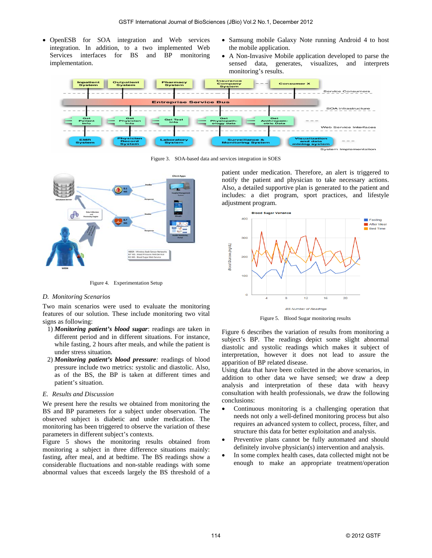- OpenESB for SOA integration and Web services integration. In addition, to a two implemented Web Services interfaces for BS and BP monitoring implementation.
- Samsung mobile Galaxy Note running Android 4 to host the mobile application.
- A Non-Invasive Mobile application developed to parse the sensed data, generates, visualizes, and interprets monitoring's results.



Figure 3. SOA-based data and services integration in SOES



Figure 4. Experimentation Setup

#### *D. Monitoring Scenarios*

Two main scenarios were used to evaluate the monitoring features of our solution. These include monitoring two vital signs as following:

- 1) *Monitoring patient's blood sugar*: readings are taken in different period and in different situations. For instance, while fasting, 2 hours after meals, and while the patient is under stress situation.
- 2) *Monitoring patient's blood pressure:* readings of blood pressure include two metrics: systolic and diastolic. Also, as of the BS, the BP is taken at different times and patient's situation.

#### *E. Results and Discussion*

We present here the results we obtained from monitoring the BS and BP parameters for a subject under observation. The observed subject is diabetic and under medication. The monitoring has been triggered to observe the variation of these parameters in different subject's contexts.

Figure 5 shows the monitoring results obtained from monitoring a subject in three difference situations mainly: fasting, after meal, and at bedtime. The BS readings show a considerable fluctuations and non-stable readings with some abnormal values that exceeds largely the BS threshold of a patient under medication. Therefore, an alert is triggered to notify the patient and physician to take necessary actions. Also, a detailed supportive plan is generated to the patient and includes: a diet program, sport practices, and lifestyle adjustment program.



Figure 5. Blood Sugar monitoring results

Figure 6 describes the variation of results from monitoring a subject's BP. The readings depict some slight abnormal diastolic and systolic readings which makes it subject of interpretation, however it does not lead to assure the apparition of BP related disease.

Using data that have been collected in the above scenarios, in addition to other data we have sensed; we draw a deep analysis and interpretation of these data with heavy consultation with health professionals, we draw the following conclusions:

- Continuous monitoring is a challenging operation that needs not only a well-defined monitoring process but also requires an advanced system to collect, process, filter, and structure this data for better exploitation and analysis.
- Preventive plans cannot be fully automated and should definitely involve physician(s) intervention and analysis.
- In some complex health cases, data collected might not be enough to make an appropriate treatment/operation